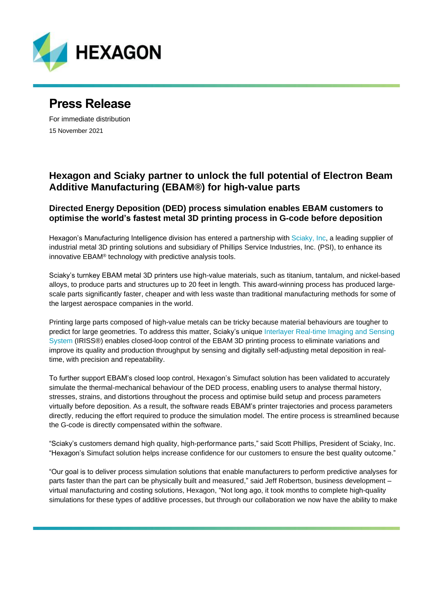

# **Press Release**

For immediate distribution 15 November 2021

## **Hexagon and Sciaky partner to unlock the full potential of Electron Beam Additive Manufacturing (EBAM®) for high-value parts**

### **Directed Energy Deposition (DED) process simulation enables EBAM customers to optimise the world's fastest metal 3D printing process in G-code before deposition**

Hexagon's Manufacturing Intelligence division has entered a partnership with [Sciaky, Inc,](https://www.sciaky.com/) a leading supplier of industrial metal 3D printing solutions and subsidiary of Phillips Service Industries, Inc. (PSI), to enhance its innovative EBAM® technology with predictive analysis tools.

Sciaky's turnkey EBAM metal 3D printers use high-value materials, such as titanium, tantalum, and nickel-based alloys, to produce parts and structures up to 20 feet in length. This award-winning process has produced largescale parts significantly faster, cheaper and with less waste than traditional manufacturing methods for some of the largest aerospace companies in the world.

Printing large parts composed of high-value metals can be tricky because material behaviours are tougher to predict for large geometries. To address this matter, Sciaky's unique [Interlayer Real-time Imaging and Sensing](https://www.sciaky.com/additive-manufacturing/iriss-closed-loop-control)  [System](https://www.sciaky.com/additive-manufacturing/iriss-closed-loop-control) (IRISS®) enables closed-loop control of the EBAM 3D printing process to eliminate variations and improve its quality and production throughput by sensing and digitally self-adjusting metal deposition in realtime, with precision and repeatability.

To further support EBAM's closed loop control, Hexagon's Simufact solution has been validated to accurately simulate the thermal-mechanical behaviour of the DED process, enabling users to analyse thermal history, stresses, strains, and distortions throughout the process and optimise build setup and process parameters virtually before deposition. As a result, the software reads EBAM's printer trajectories and process parameters directly, reducing the effort required to produce the simulation model. The entire process is streamlined because the G-code is directly compensated within the software.

"Sciaky's customers demand high quality, high-performance parts," said Scott Phillips, President of Sciaky, Inc. "Hexagon's Simufact solution helps increase confidence for our customers to ensure the best quality outcome."

"Our goal is to deliver process simulation solutions that enable manufacturers to perform predictive analyses for parts faster than the part can be physically built and measured," said Jeff Robertson, business development – virtual manufacturing and costing solutions, Hexagon, "Not long ago, it took months to complete high-quality simulations for these types of additive processes, but through our collaboration we now have the ability to make